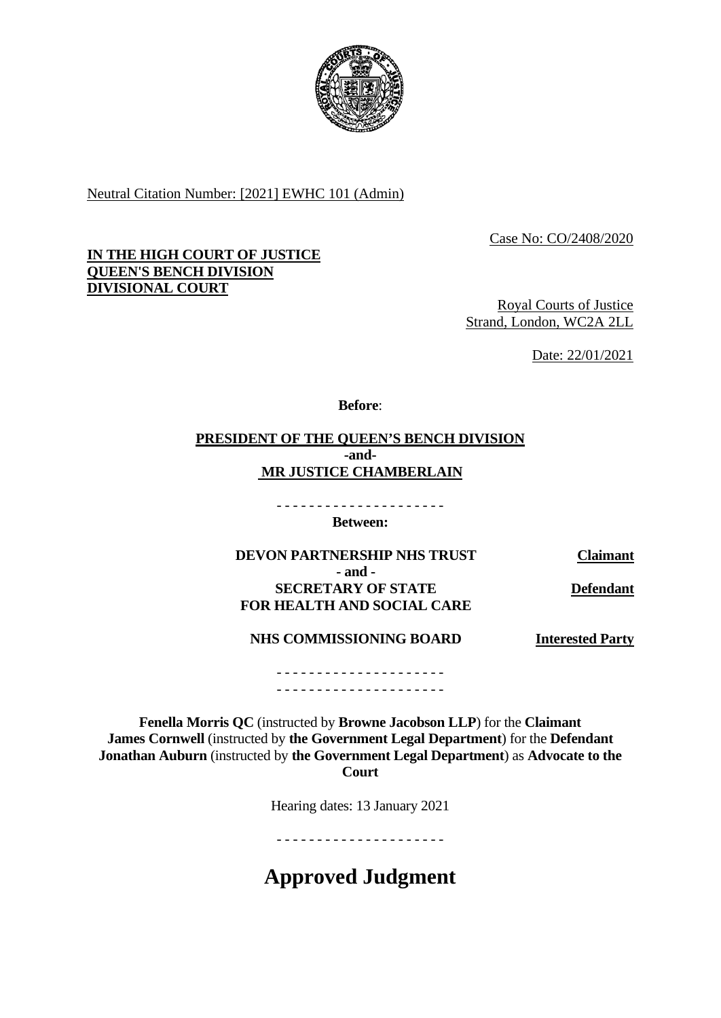

Neutral Citation Number: [2021] EWHC 101 (Admin)

Case No: CO/2408/2020

## **IN THE HIGH COURT OF JUSTICE QUEEN'S BENCH DIVISION DIVISIONAL COURT**

Royal Courts of Justice Strand, London, WC2A 2LL

Date: 22/01/2021

**Before**:

# **PRESIDENT OF THE QUEEN'S BENCH DIVISION -and-MR JUSTICE CHAMBERLAIN**

- - - - - - - - - - - - - - - - - - - - - **Between:**

**DEVON PARTNERSHIP NHS TRUST Claimant - and - SECRETARY OF STATE FOR HEALTH AND SOCIAL CARE** 

**Defendant**

**NHS COMMISSIONING BOARD**

**Interested Party**

- - - - - - - - - - - - - - - - - - - - - - - - - - - - - - - - - - - - - - - - - -

**Fenella Morris QC** (instructed by **Browne Jacobson LLP**) for the **Claimant James Cornwell** (instructed by **the Government Legal Department**) for the **Defendant Jonathan Auburn** (instructed by **the Government Legal Department**) as **Advocate to the Court** 

Hearing dates: 13 January 2021

- - - - - - - - - - - - - - - - - - - - -

**Approved Judgment**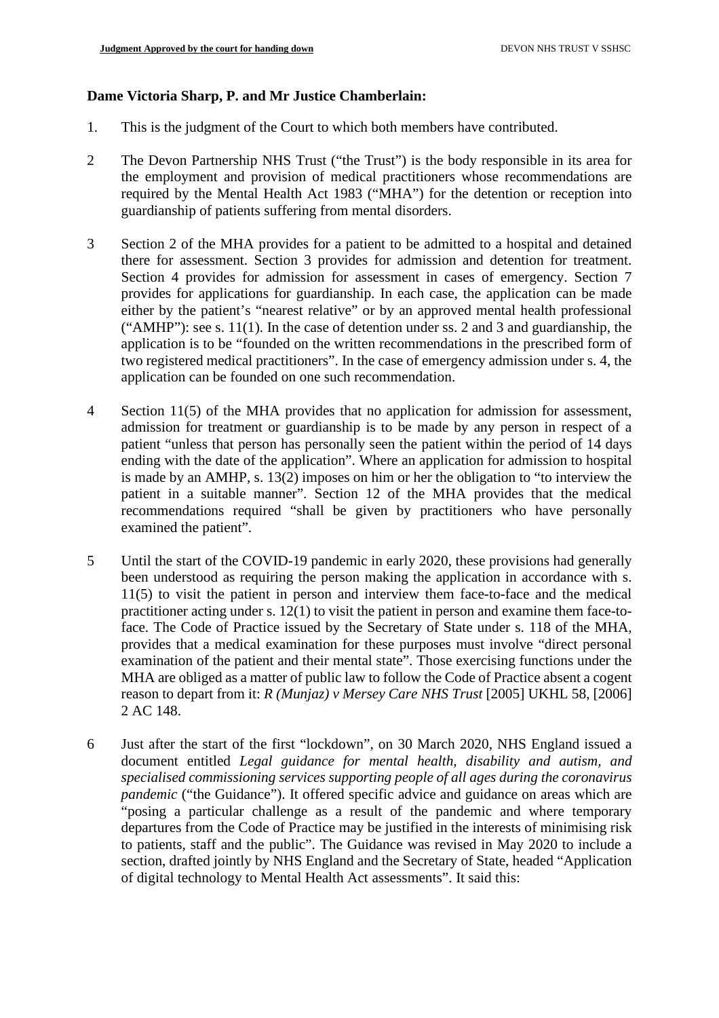### **Dame Victoria Sharp, P. and Mr Justice Chamberlain:**

- 1. This is the judgment of the Court to which both members have contributed.
- 2 The Devon Partnership NHS Trust ("the Trust") is the body responsible in its area for the employment and provision of medical practitioners whose recommendations are required by the Mental Health Act 1983 ("MHA") for the detention or reception into guardianship of patients suffering from mental disorders.
- 3 Section 2 of the MHA provides for a patient to be admitted to a hospital and detained there for assessment. Section 3 provides for admission and detention for treatment. Section 4 provides for admission for assessment in cases of emergency. Section 7 provides for applications for guardianship. In each case, the application can be made either by the patient's "nearest relative" or by an approved mental health professional ("AMHP"): see s. 11(1). In the case of detention under ss. 2 and 3 and guardianship, the application is to be "founded on the written recommendations in the prescribed form of two registered medical practitioners". In the case of emergency admission under s. 4, the application can be founded on one such recommendation.
- 4 Section 11(5) of the MHA provides that no application for admission for assessment, admission for treatment or guardianship is to be made by any person in respect of a patient "unless that person has personally seen the patient within the period of 14 days ending with the date of the application". Where an application for admission to hospital is made by an AMHP, s. 13(2) imposes on him or her the obligation to "to interview the patient in a suitable manner". Section 12 of the MHA provides that the medical recommendations required "shall be given by practitioners who have personally examined the patient".
- 5 Until the start of the COVID-19 pandemic in early 2020, these provisions had generally been understood as requiring the person making the application in accordance with s. 11(5) to visit the patient in person and interview them face-to-face and the medical practitioner acting under s. 12(1) to visit the patient in person and examine them face-toface. The Code of Practice issued by the Secretary of State under s. 118 of the MHA, provides that a medical examination for these purposes must involve "direct personal examination of the patient and their mental state". Those exercising functions under the MHA are obliged as a matter of public law to follow the Code of Practice absent a cogent reason to depart from it: *R (Munjaz) v Mersey Care NHS Trust* [2005] UKHL 58, [2006] 2 AC 148.
- 6 Just after the start of the first "lockdown", on 30 March 2020, NHS England issued a document entitled *Legal guidance for mental health, disability and autism, and specialised commissioning services supporting people of all ages during the coronavirus pandemic* ("the Guidance"). It offered specific advice and guidance on areas which are "posing a particular challenge as a result of the pandemic and where temporary departures from the Code of Practice may be justified in the interests of minimising risk to patients, staff and the public". The Guidance was revised in May 2020 to include a section, drafted jointly by NHS England and the Secretary of State, headed "Application of digital technology to Mental Health Act assessments". It said this: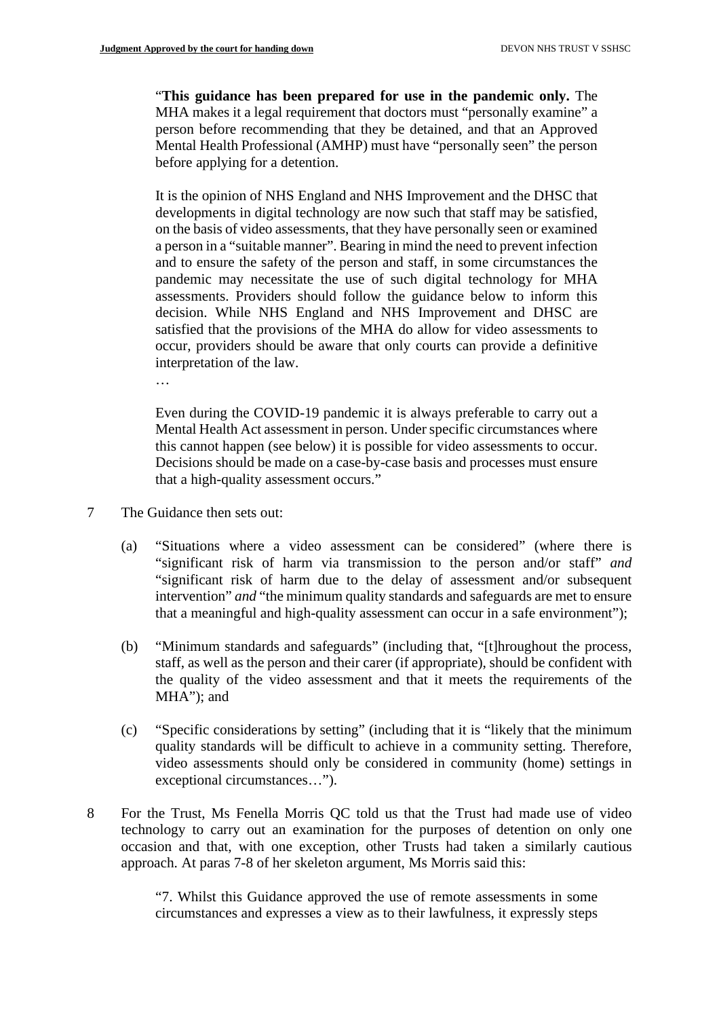"**This guidance has been prepared for use in the pandemic only.** The MHA makes it a legal requirement that doctors must "personally examine" a person before recommending that they be detained, and that an Approved Mental Health Professional (AMHP) must have "personally seen" the person before applying for a detention.

It is the opinion of NHS England and NHS Improvement and the DHSC that developments in digital technology are now such that staff may be satisfied, on the basis of video assessments, that they have personally seen or examined a person in a "suitable manner". Bearing in mind the need to prevent infection and to ensure the safety of the person and staff, in some circumstances the pandemic may necessitate the use of such digital technology for MHA assessments. Providers should follow the guidance below to inform this decision. While NHS England and NHS Improvement and DHSC are satisfied that the provisions of the MHA do allow for video assessments to occur, providers should be aware that only courts can provide a definitive interpretation of the law.

…

Even during the COVID-19 pandemic it is always preferable to carry out a Mental Health Act assessment in person. Under specific circumstances where this cannot happen (see below) it is possible for video assessments to occur. Decisions should be made on a case-by-case basis and processes must ensure that a high-quality assessment occurs."

- 7 The Guidance then sets out:
	- (a) "Situations where a video assessment can be considered" (where there is "significant risk of harm via transmission to the person and/or staff" *and* "significant risk of harm due to the delay of assessment and/or subsequent intervention" *and* "the minimum quality standards and safeguards are met to ensure that a meaningful and high-quality assessment can occur in a safe environment");
	- (b) "Minimum standards and safeguards" (including that, "[t]hroughout the process, staff, as well as the person and their carer (if appropriate), should be confident with the quality of the video assessment and that it meets the requirements of the MHA"); and
	- (c) "Specific considerations by setting" (including that it is "likely that the minimum quality standards will be difficult to achieve in a community setting. Therefore, video assessments should only be considered in community (home) settings in exceptional circumstances…").
- 8 For the Trust, Ms Fenella Morris QC told us that the Trust had made use of video technology to carry out an examination for the purposes of detention on only one occasion and that, with one exception, other Trusts had taken a similarly cautious approach. At paras 7-8 of her skeleton argument, Ms Morris said this:

"7. Whilst this Guidance approved the use of remote assessments in some circumstances and expresses a view as to their lawfulness, it expressly steps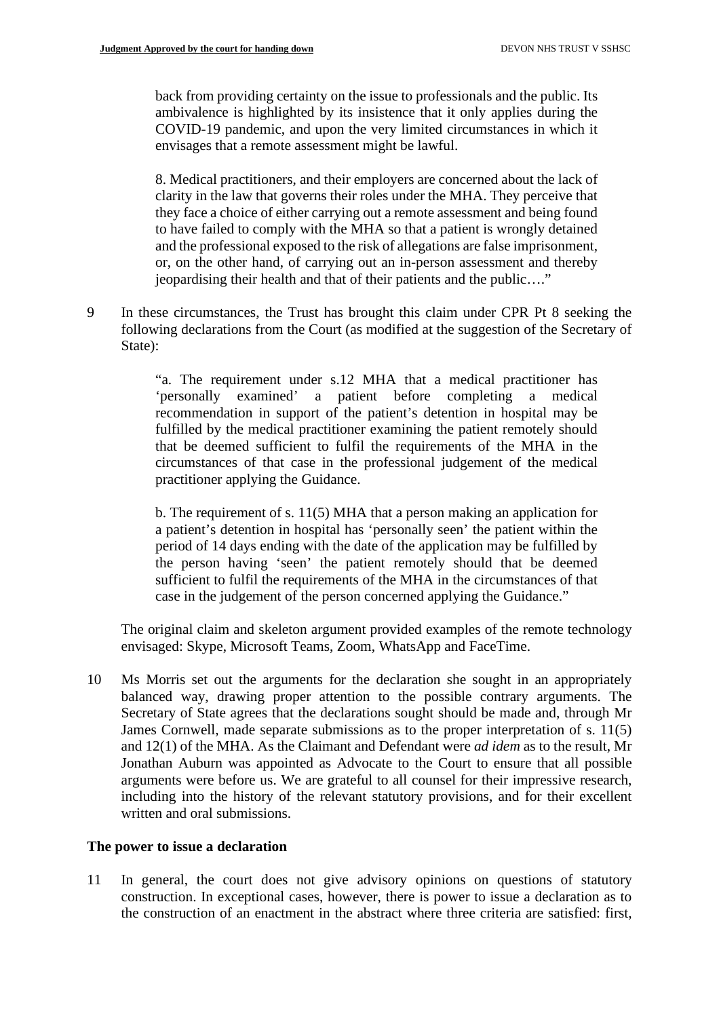back from providing certainty on the issue to professionals and the public. Its ambivalence is highlighted by its insistence that it only applies during the COVID-19 pandemic, and upon the very limited circumstances in which it envisages that a remote assessment might be lawful.

8. Medical practitioners, and their employers are concerned about the lack of clarity in the law that governs their roles under the MHA. They perceive that they face a choice of either carrying out a remote assessment and being found to have failed to comply with the MHA so that a patient is wrongly detained and the professional exposed to the risk of allegations are false imprisonment, or, on the other hand, of carrying out an in-person assessment and thereby jeopardising their health and that of their patients and the public…."

9 In these circumstances, the Trust has brought this claim under CPR Pt 8 seeking the following declarations from the Court (as modified at the suggestion of the Secretary of State):

> "a. The requirement under s.12 MHA that a medical practitioner has 'personally examined' a patient before completing a medical recommendation in support of the patient's detention in hospital may be fulfilled by the medical practitioner examining the patient remotely should that be deemed sufficient to fulfil the requirements of the MHA in the circumstances of that case in the professional judgement of the medical practitioner applying the Guidance.

> b. The requirement of s. 11(5) MHA that a person making an application for a patient's detention in hospital has 'personally seen' the patient within the period of 14 days ending with the date of the application may be fulfilled by the person having 'seen' the patient remotely should that be deemed sufficient to fulfil the requirements of the MHA in the circumstances of that case in the judgement of the person concerned applying the Guidance."

The original claim and skeleton argument provided examples of the remote technology envisaged: Skype, Microsoft Teams, Zoom, WhatsApp and FaceTime.

10 Ms Morris set out the arguments for the declaration she sought in an appropriately balanced way, drawing proper attention to the possible contrary arguments. The Secretary of State agrees that the declarations sought should be made and, through Mr James Cornwell, made separate submissions as to the proper interpretation of s. 11(5) and 12(1) of the MHA. As the Claimant and Defendant were *ad idem* as to the result, Mr Jonathan Auburn was appointed as Advocate to the Court to ensure that all possible arguments were before us. We are grateful to all counsel for their impressive research, including into the history of the relevant statutory provisions, and for their excellent written and oral submissions.

#### **The power to issue a declaration**

11 In general, the court does not give advisory opinions on questions of statutory construction. In exceptional cases, however, there is power to issue a declaration as to the construction of an enactment in the abstract where three criteria are satisfied: first,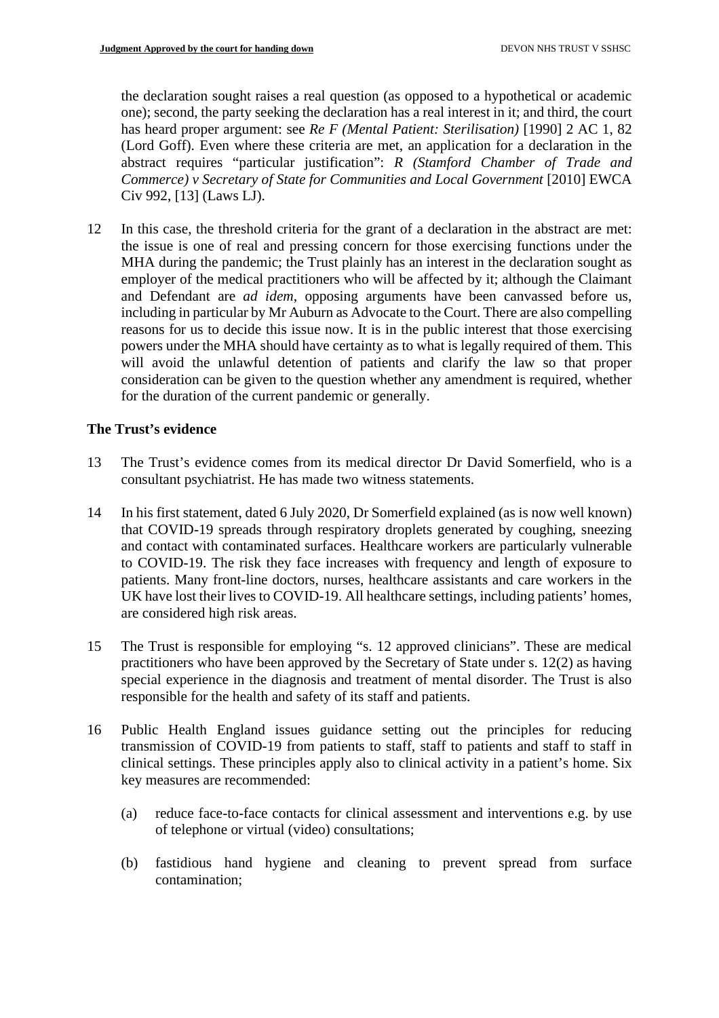the declaration sought raises a real question (as opposed to a hypothetical or academic one); second, the party seeking the declaration has a real interest in it; and third, the court has heard proper argument: see *Re F (Mental Patient: Sterilisation)* [1990] 2 AC 1, 82 (Lord Goff). Even where these criteria are met, an application for a declaration in the abstract requires "particular justification": *R (Stamford Chamber of Trade and Commerce) v Secretary of State for Communities and Local Government* [2010] EWCA Civ 992, [13] (Laws LJ).

12 In this case, the threshold criteria for the grant of a declaration in the abstract are met: the issue is one of real and pressing concern for those exercising functions under the MHA during the pandemic; the Trust plainly has an interest in the declaration sought as employer of the medical practitioners who will be affected by it; although the Claimant and Defendant are *ad idem*, opposing arguments have been canvassed before us, including in particular by Mr Auburn as Advocate to the Court. There are also compelling reasons for us to decide this issue now. It is in the public interest that those exercising powers under the MHA should have certainty as to what is legally required of them. This will avoid the unlawful detention of patients and clarify the law so that proper consideration can be given to the question whether any amendment is required, whether for the duration of the current pandemic or generally.

# **The Trust's evidence**

- 13 The Trust's evidence comes from its medical director Dr David Somerfield, who is a consultant psychiatrist. He has made two witness statements.
- 14 In his first statement, dated 6 July 2020, Dr Somerfield explained (as is now well known) that COVID-19 spreads through respiratory droplets generated by coughing, sneezing and contact with contaminated surfaces. Healthcare workers are particularly vulnerable to COVID-19. The risk they face increases with frequency and length of exposure to patients. Many front-line doctors, nurses, healthcare assistants and care workers in the UK have lost their lives to COVID-19. All healthcare settings, including patients' homes, are considered high risk areas.
- 15 The Trust is responsible for employing "s. 12 approved clinicians". These are medical practitioners who have been approved by the Secretary of State under s. 12(2) as having special experience in the diagnosis and treatment of mental disorder. The Trust is also responsible for the health and safety of its staff and patients.
- 16 Public Health England issues guidance setting out the principles for reducing transmission of COVID-19 from patients to staff, staff to patients and staff to staff in clinical settings. These principles apply also to clinical activity in a patient's home. Six key measures are recommended:
	- (a) reduce face-to-face contacts for clinical assessment and interventions e.g. by use of telephone or virtual (video) consultations;
	- (b) fastidious hand hygiene and cleaning to prevent spread from surface contamination;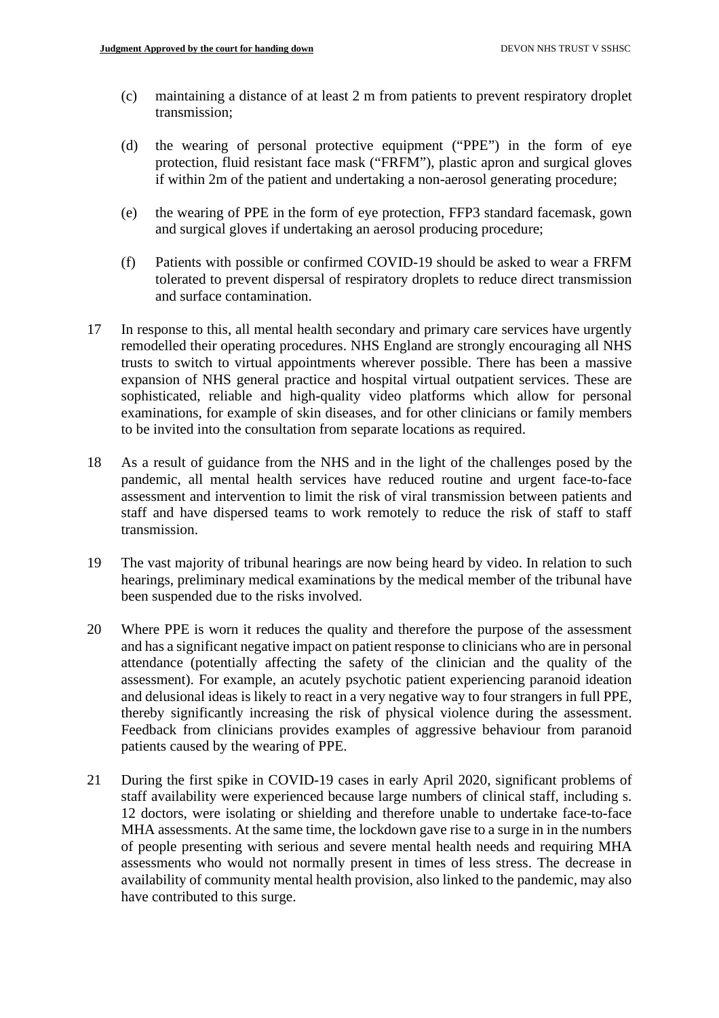- (c) maintaining a distance of at least 2 m from patients to prevent respiratory droplet transmission;
- (d) the wearing of personal protective equipment ("PPE") in the form of eye protection, fluid resistant face mask ("FRFM"), plastic apron and surgical gloves if within 2m of the patient and undertaking a non-aerosol generating procedure;
- (e) the wearing of PPE in the form of eye protection, FFP3 standard facemask, gown and surgical gloves if undertaking an aerosol producing procedure;
- (f) Patients with possible or confirmed COVID-19 should be asked to wear a FRFM tolerated to prevent dispersal of respiratory droplets to reduce direct transmission and surface contamination.
- 17 In response to this, all mental health secondary and primary care services have urgently remodelled their operating procedures. NHS England are strongly encouraging all NHS trusts to switch to virtual appointments wherever possible. There has been a massive expansion of NHS general practice and hospital virtual outpatient services. These are sophisticated, reliable and high-quality video platforms which allow for personal examinations, for example of skin diseases, and for other clinicians or family members to be invited into the consultation from separate locations as required.
- 18 As a result of guidance from the NHS and in the light of the challenges posed by the pandemic, all mental health services have reduced routine and urgent face-to-face assessment and intervention to limit the risk of viral transmission between patients and staff and have dispersed teams to work remotely to reduce the risk of staff to staff transmission.
- 19 The vast majority of tribunal hearings are now being heard by video. In relation to such hearings, preliminary medical examinations by the medical member of the tribunal have been suspended due to the risks involved.
- 20 Where PPE is worn it reduces the quality and therefore the purpose of the assessment and has a significant negative impact on patient response to clinicians who are in personal attendance (potentially affecting the safety of the clinician and the quality of the assessment). For example, an acutely psychotic patient experiencing paranoid ideation and delusional ideas is likely to react in a very negative way to four strangers in full PPE, thereby significantly increasing the risk of physical violence during the assessment. Feedback from clinicians provides examples of aggressive behaviour from paranoid patients caused by the wearing of PPE.
- 21 During the first spike in COVID-19 cases in early April 2020, significant problems of staff availability were experienced because large numbers of clinical staff, including s. 12 doctors, were isolating or shielding and therefore unable to undertake face-to-face MHA assessments. At the same time, the lockdown gave rise to a surge in in the numbers of people presenting with serious and severe mental health needs and requiring MHA assessments who would not normally present in times of less stress. The decrease in availability of community mental health provision, also linked to the pandemic, may also have contributed to this surge.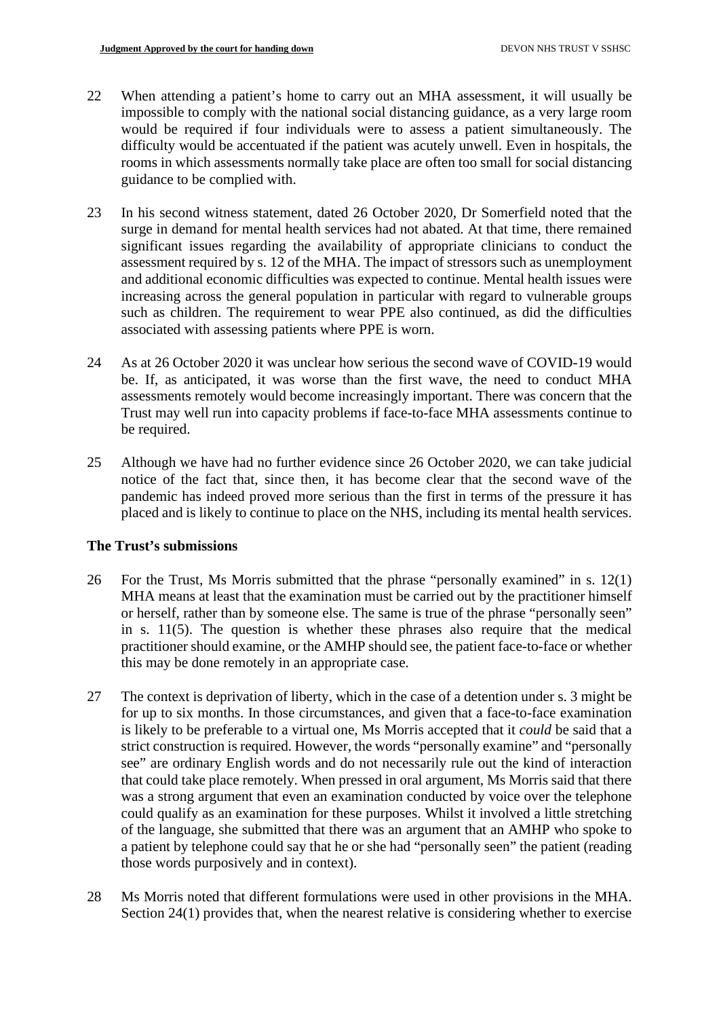- 22 When attending a patient's home to carry out an MHA assessment, it will usually be impossible to comply with the national social distancing guidance, as a very large room would be required if four individuals were to assess a patient simultaneously. The difficulty would be accentuated if the patient was acutely unwell. Even in hospitals, the rooms in which assessments normally take place are often too small for social distancing guidance to be complied with.
- 23 In his second witness statement, dated 26 October 2020, Dr Somerfield noted that the surge in demand for mental health services had not abated. At that time, there remained significant issues regarding the availability of appropriate clinicians to conduct the assessment required by s. 12 of the MHA. The impact of stressors such as unemployment and additional economic difficulties was expected to continue. Mental health issues were increasing across the general population in particular with regard to vulnerable groups such as children. The requirement to wear PPE also continued, as did the difficulties associated with assessing patients where PPE is worn.
- 24 As at 26 October 2020 it was unclear how serious the second wave of COVID-19 would be. If, as anticipated, it was worse than the first wave, the need to conduct MHA assessments remotely would become increasingly important. There was concern that the Trust may well run into capacity problems if face-to-face MHA assessments continue to be required.
- 25 Although we have had no further evidence since 26 October 2020, we can take judicial notice of the fact that, since then, it has become clear that the second wave of the pandemic has indeed proved more serious than the first in terms of the pressure it has placed and is likely to continue to place on the NHS, including its mental health services.

# **The Trust's submissions**

- 26 For the Trust, Ms Morris submitted that the phrase "personally examined" in s. 12(1) MHA means at least that the examination must be carried out by the practitioner himself or herself, rather than by someone else. The same is true of the phrase "personally seen" in s. 11(5). The question is whether these phrases also require that the medical practitioner should examine, or the AMHP should see, the patient face-to-face or whether this may be done remotely in an appropriate case.
- 27 The context is deprivation of liberty, which in the case of a detention under s. 3 might be for up to six months. In those circumstances, and given that a face-to-face examination is likely to be preferable to a virtual one, Ms Morris accepted that it *could* be said that a strict construction is required. However, the words "personally examine" and "personally see" are ordinary English words and do not necessarily rule out the kind of interaction that could take place remotely. When pressed in oral argument, Ms Morris said that there was a strong argument that even an examination conducted by voice over the telephone could qualify as an examination for these purposes. Whilst it involved a little stretching of the language, she submitted that there was an argument that an AMHP who spoke to a patient by telephone could say that he or she had "personally seen" the patient (reading those words purposively and in context).
- 28 Ms Morris noted that different formulations were used in other provisions in the MHA. Section 24(1) provides that, when the nearest relative is considering whether to exercise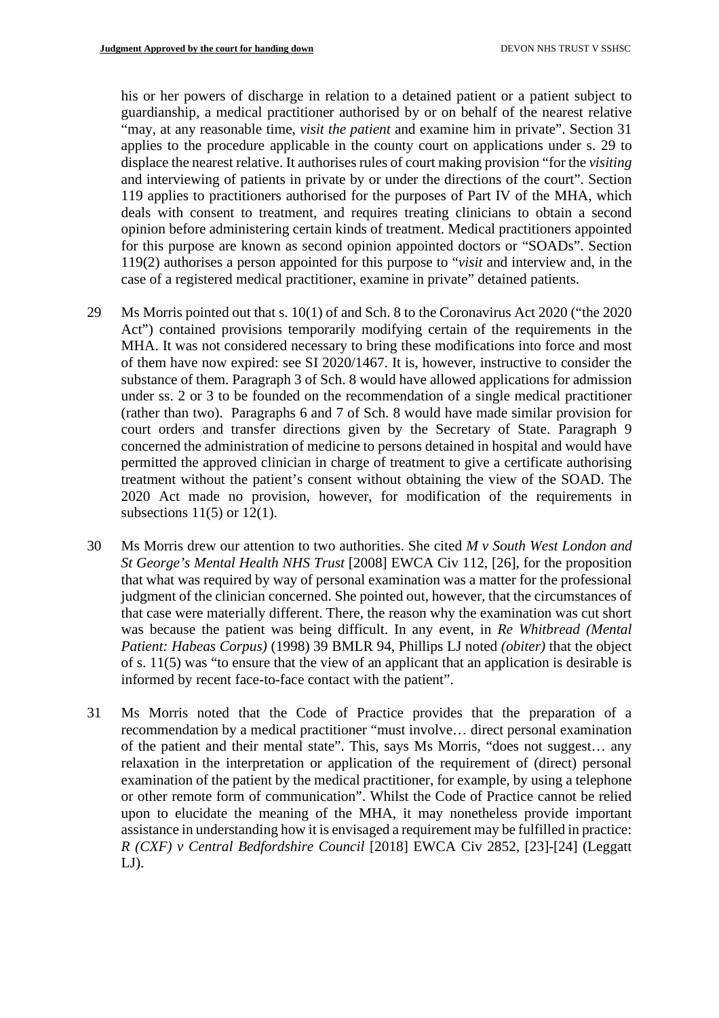his or her powers of discharge in relation to a detained patient or a patient subject to guardianship, a medical practitioner authorised by or on behalf of the nearest relative "may, at any reasonable time, *visit the patient* and examine him in private". Section 31 applies to the procedure applicable in the county court on applications under s. 29 to displace the nearest relative. It authorises rules of court making provision "for the *visiting* and interviewing of patients in private by or under the directions of the court". Section 119 applies to practitioners authorised for the purposes of Part IV of the MHA, which deals with consent to treatment, and requires treating clinicians to obtain a second opinion before administering certain kinds of treatment. Medical practitioners appointed for this purpose are known as second opinion appointed doctors or "SOADs". Section 119(2) authorises a person appointed for this purpose to "*visit* and interview and, in the case of a registered medical practitioner, examine in private" detained patients.

- 29 Ms Morris pointed out that s. 10(1) of and Sch. 8 to the Coronavirus Act 2020 ("the 2020 Act") contained provisions temporarily modifying certain of the requirements in the MHA. It was not considered necessary to bring these modifications into force and most of them have now expired: see SI 2020/1467. It is, however, instructive to consider the substance of them. Paragraph 3 of Sch. 8 would have allowed applications for admission under ss. 2 or 3 to be founded on the recommendation of a single medical practitioner (rather than two). Paragraphs 6 and 7 of Sch. 8 would have made similar provision for court orders and transfer directions given by the Secretary of State. Paragraph 9 concerned the administration of medicine to persons detained in hospital and would have permitted the approved clinician in charge of treatment to give a certificate authorising treatment without the patient's consent without obtaining the view of the SOAD. The 2020 Act made no provision, however, for modification of the requirements in subsections  $11(5)$  or  $12(1)$ .
- 30 Ms Morris drew our attention to two authorities. She cited *M v South West London and St George's Mental Health NHS Trust* [2008] EWCA Civ 112, [26], for the proposition that what was required by way of personal examination was a matter for the professional judgment of the clinician concerned. She pointed out, however, that the circumstances of that case were materially different. There, the reason why the examination was cut short was because the patient was being difficult. In any event, in *Re Whitbread (Mental Patient: Habeas Corpus)* (1998) 39 BMLR 94, Phillips LJ noted *(obiter)* that the object of s. 11(5) was "to ensure that the view of an applicant that an application is desirable is informed by recent face-to-face contact with the patient".
- 31 Ms Morris noted that the Code of Practice provides that the preparation of a recommendation by a medical practitioner "must involve… direct personal examination of the patient and their mental state". This, says Ms Morris, "does not suggest… any relaxation in the interpretation or application of the requirement of (direct) personal examination of the patient by the medical practitioner, for example, by using a telephone or other remote form of communication". Whilst the Code of Practice cannot be relied upon to elucidate the meaning of the MHA, it may nonetheless provide important assistance in understanding how it is envisaged a requirement may be fulfilled in practice: *R (CXF) v Central Bedfordshire Council* [2018] EWCA Civ 2852, [23]-[24] (Leggatt  $LJ$ ).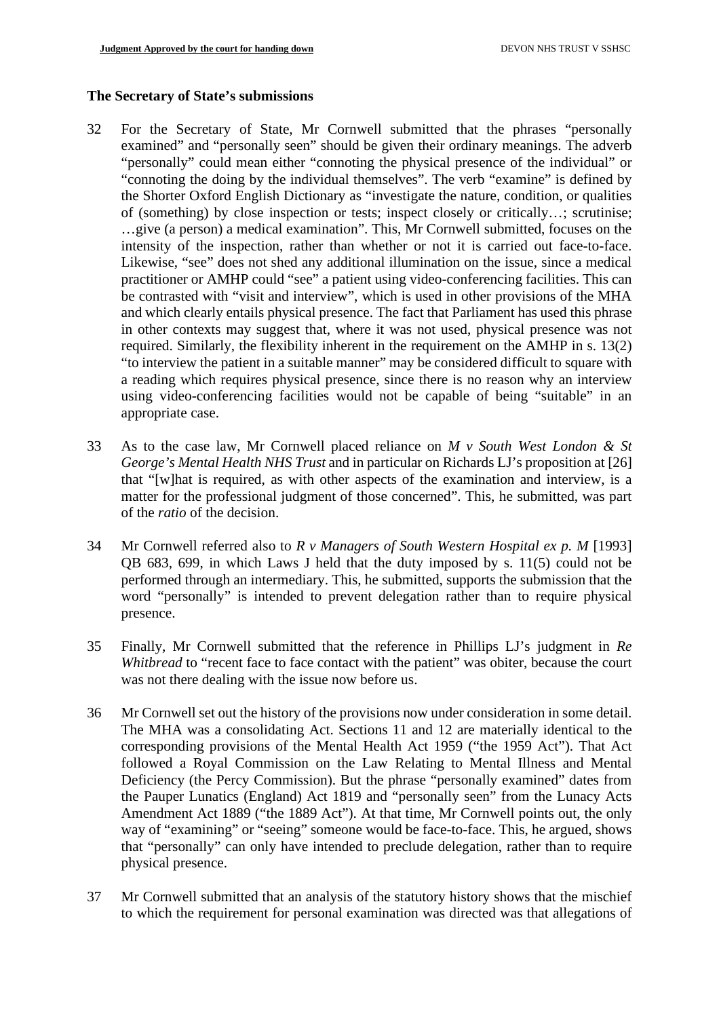### **The Secretary of State's submissions**

- 32 For the Secretary of State, Mr Cornwell submitted that the phrases "personally examined" and "personally seen" should be given their ordinary meanings. The adverb "personally" could mean either "connoting the physical presence of the individual" or "connoting the doing by the individual themselves". The verb "examine" is defined by the Shorter Oxford English Dictionary as "investigate the nature, condition, or qualities of (something) by close inspection or tests; inspect closely or critically…; scrutinise; …give (a person) a medical examination". This, Mr Cornwell submitted, focuses on the intensity of the inspection, rather than whether or not it is carried out face-to-face. Likewise, "see" does not shed any additional illumination on the issue, since a medical practitioner or AMHP could "see" a patient using video-conferencing facilities. This can be contrasted with "visit and interview", which is used in other provisions of the MHA and which clearly entails physical presence. The fact that Parliament has used this phrase in other contexts may suggest that, where it was not used, physical presence was not required. Similarly, the flexibility inherent in the requirement on the AMHP in s. 13(2) "to interview the patient in a suitable manner" may be considered difficult to square with a reading which requires physical presence, since there is no reason why an interview using video-conferencing facilities would not be capable of being "suitable" in an appropriate case.
- 33 As to the case law, Mr Cornwell placed reliance on *M v South West London & St George's Mental Health NHS Trust* and in particular on Richards LJ's proposition at [26] that "[w]hat is required, as with other aspects of the examination and interview, is a matter for the professional judgment of those concerned". This, he submitted, was part of the *ratio* of the decision.
- 34 Mr Cornwell referred also to *R v Managers of South Western Hospital ex p. M* [1993] QB 683, 699, in which Laws J held that the duty imposed by s. 11(5) could not be performed through an intermediary. This, he submitted, supports the submission that the word "personally" is intended to prevent delegation rather than to require physical presence.
- 35 Finally, Mr Cornwell submitted that the reference in Phillips LJ's judgment in *Re Whitbread* to "recent face to face contact with the patient" was obiter, because the court was not there dealing with the issue now before us.
- 36 Mr Cornwell set out the history of the provisions now under consideration in some detail. The MHA was a consolidating Act. Sections 11 and 12 are materially identical to the corresponding provisions of the Mental Health Act 1959 ("the 1959 Act"). That Act followed a Royal Commission on the Law Relating to Mental Illness and Mental Deficiency (the Percy Commission). But the phrase "personally examined" dates from the Pauper Lunatics (England) Act 1819 and "personally seen" from the Lunacy Acts Amendment Act 1889 ("the 1889 Act"). At that time, Mr Cornwell points out, the only way of "examining" or "seeing" someone would be face-to-face. This, he argued, shows that "personally" can only have intended to preclude delegation, rather than to require physical presence.
- 37 Mr Cornwell submitted that an analysis of the statutory history shows that the mischief to which the requirement for personal examination was directed was that allegations of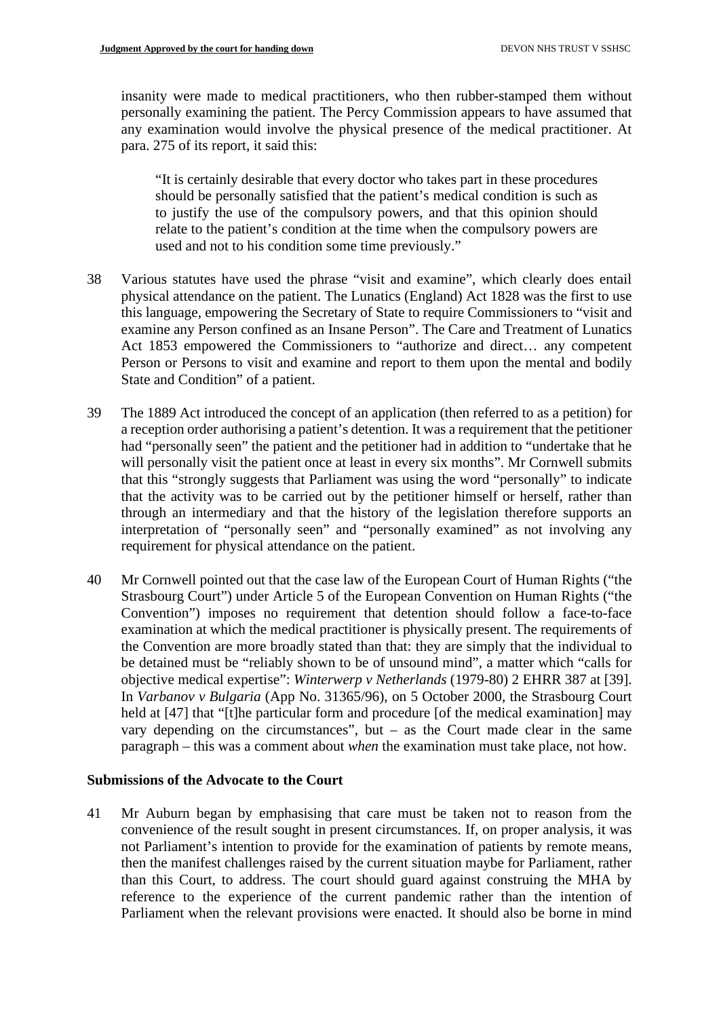insanity were made to medical practitioners, who then rubber-stamped them without personally examining the patient. The Percy Commission appears to have assumed that any examination would involve the physical presence of the medical practitioner. At para. 275 of its report, it said this:

"It is certainly desirable that every doctor who takes part in these procedures should be personally satisfied that the patient's medical condition is such as to justify the use of the compulsory powers, and that this opinion should relate to the patient's condition at the time when the compulsory powers are used and not to his condition some time previously."

- 38 Various statutes have used the phrase "visit and examine", which clearly does entail physical attendance on the patient. The Lunatics (England) Act 1828 was the first to use this language, empowering the Secretary of State to require Commissioners to "visit and examine any Person confined as an Insane Person". The Care and Treatment of Lunatics Act 1853 empowered the Commissioners to "authorize and direct… any competent Person or Persons to visit and examine and report to them upon the mental and bodily State and Condition" of a patient.
- 39 The 1889 Act introduced the concept of an application (then referred to as a petition) for a reception order authorising a patient's detention. It was a requirement that the petitioner had "personally seen" the patient and the petitioner had in addition to "undertake that he will personally visit the patient once at least in every six months". Mr Cornwell submits that this "strongly suggests that Parliament was using the word "personally" to indicate that the activity was to be carried out by the petitioner himself or herself, rather than through an intermediary and that the history of the legislation therefore supports an interpretation of "personally seen" and "personally examined" as not involving any requirement for physical attendance on the patient.
- 40 Mr Cornwell pointed out that the case law of the European Court of Human Rights ("the Strasbourg Court") under Article 5 of the European Convention on Human Rights ("the Convention") imposes no requirement that detention should follow a face-to-face examination at which the medical practitioner is physically present. The requirements of the Convention are more broadly stated than that: they are simply that the individual to be detained must be "reliably shown to be of unsound mind", a matter which "calls for objective medical expertise": *Winterwerp v Netherlands* (1979-80) 2 EHRR 387 at [39]. In *Varbanov v Bulgaria* (App No. 31365/96), on 5 October 2000, the Strasbourg Court held at [47] that "[t]he particular form and procedure [of the medical examination] may vary depending on the circumstances", but  $-$  as the Court made clear in the same paragraph – this was a comment about *when* the examination must take place, not how.

## **Submissions of the Advocate to the Court**

41 Mr Auburn began by emphasising that care must be taken not to reason from the convenience of the result sought in present circumstances. If, on proper analysis, it was not Parliament's intention to provide for the examination of patients by remote means, then the manifest challenges raised by the current situation maybe for Parliament, rather than this Court, to address. The court should guard against construing the MHA by reference to the experience of the current pandemic rather than the intention of Parliament when the relevant provisions were enacted. It should also be borne in mind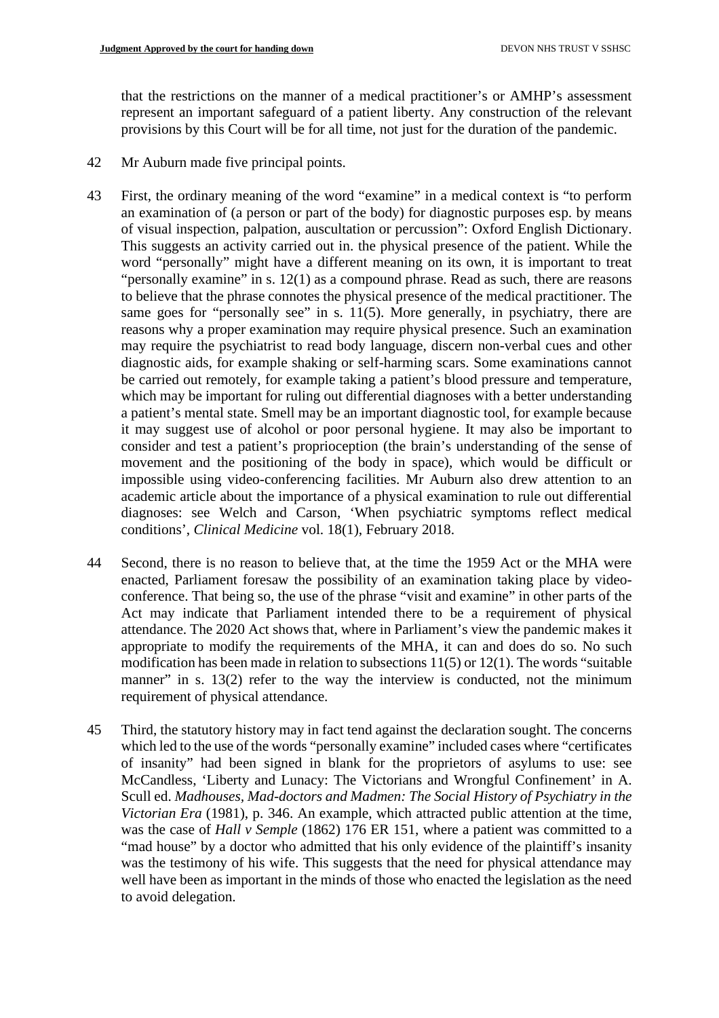that the restrictions on the manner of a medical practitioner's or AMHP's assessment represent an important safeguard of a patient liberty. Any construction of the relevant provisions by this Court will be for all time, not just for the duration of the pandemic.

- 42 Mr Auburn made five principal points.
- 43 First, the ordinary meaning of the word "examine" in a medical context is "to perform an examination of (a person or part of the body) for diagnostic purposes esp. by means of visual inspection, palpation, auscultation or percussion": Oxford English Dictionary. This suggests an activity carried out in. the physical presence of the patient. While the word "personally" might have a different meaning on its own, it is important to treat "personally examine" in s. 12(1) as a compound phrase. Read as such, there are reasons to believe that the phrase connotes the physical presence of the medical practitioner. The same goes for "personally see" in s. 11(5). More generally, in psychiatry, there are reasons why a proper examination may require physical presence. Such an examination may require the psychiatrist to read body language, discern non-verbal cues and other diagnostic aids, for example shaking or self-harming scars. Some examinations cannot be carried out remotely, for example taking a patient's blood pressure and temperature, which may be important for ruling out differential diagnoses with a better understanding a patient's mental state. Smell may be an important diagnostic tool, for example because it may suggest use of alcohol or poor personal hygiene. It may also be important to consider and test a patient's proprioception (the brain's understanding of the sense of movement and the positioning of the body in space), which would be difficult or impossible using video-conferencing facilities. Mr Auburn also drew attention to an academic article about the importance of a physical examination to rule out differential diagnoses: see Welch and Carson, 'When psychiatric symptoms reflect medical conditions', *Clinical Medicine* vol. 18(1), February 2018.
- 44 Second, there is no reason to believe that, at the time the 1959 Act or the MHA were enacted, Parliament foresaw the possibility of an examination taking place by videoconference. That being so, the use of the phrase "visit and examine" in other parts of the Act may indicate that Parliament intended there to be a requirement of physical attendance. The 2020 Act shows that, where in Parliament's view the pandemic makes it appropriate to modify the requirements of the MHA, it can and does do so. No such modification has been made in relation to subsections 11(5) or 12(1). The words "suitable manner" in s. 13(2) refer to the way the interview is conducted, not the minimum requirement of physical attendance.
- 45 Third, the statutory history may in fact tend against the declaration sought. The concerns which led to the use of the words "personally examine" included cases where "certificates of insanity" had been signed in blank for the proprietors of asylums to use: see McCandless, 'Liberty and Lunacy: The Victorians and Wrongful Confinement' in A. Scull ed. *Madhouses, Mad-doctors and Madmen: The Social History of Psychiatry in the Victorian Era* (1981), p. 346. An example, which attracted public attention at the time, was the case of *Hall v Semple* (1862) 176 ER 151, where a patient was committed to a "mad house" by a doctor who admitted that his only evidence of the plaintiff's insanity was the testimony of his wife. This suggests that the need for physical attendance may well have been as important in the minds of those who enacted the legislation as the need to avoid delegation.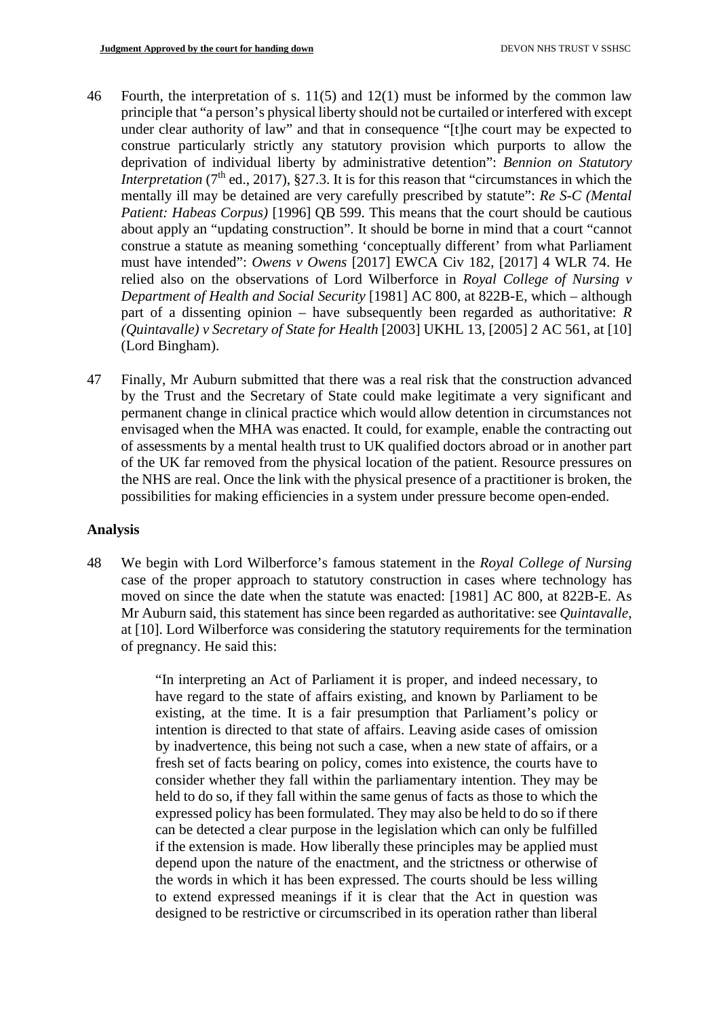- 46 Fourth, the interpretation of s. 11(5) and 12(1) must be informed by the common law principle that "a person's physical liberty should not be curtailed or interfered with except under clear authority of law" and that in consequence "[t]he court may be expected to construe particularly strictly any statutory provision which purports to allow the deprivation of individual liberty by administrative detention": *Bennion on Statutory Interpretation* ( $7<sup>th</sup>$  ed., 2017), §27.3. It is for this reason that "circumstances in which the mentally ill may be detained are very carefully prescribed by statute": *Re S-C (Mental Patient: Habeas Corpus)* [1996] QB 599. This means that the court should be cautious about apply an "updating construction". It should be borne in mind that a court "cannot construe a statute as meaning something 'conceptually different' from what Parliament must have intended": *Owens v Owens* [2017] EWCA Civ 182, [2017] 4 WLR 74. He relied also on the observations of Lord Wilberforce in *Royal College of Nursing v Department of Health and Social Security* [1981] AC 800, at 822B-E, which – although part of a dissenting opinion – have subsequently been regarded as authoritative: *R (Quintavalle) v Secretary of State for Health* [2003] UKHL 13, [2005] 2 AC 561, at [10] (Lord Bingham).
- 47 Finally, Mr Auburn submitted that there was a real risk that the construction advanced by the Trust and the Secretary of State could make legitimate a very significant and permanent change in clinical practice which would allow detention in circumstances not envisaged when the MHA was enacted. It could, for example, enable the contracting out of assessments by a mental health trust to UK qualified doctors abroad or in another part of the UK far removed from the physical location of the patient. Resource pressures on the NHS are real. Once the link with the physical presence of a practitioner is broken, the possibilities for making efficiencies in a system under pressure become open-ended.

## **Analysis**

48 We begin with Lord Wilberforce's famous statement in the *Royal College of Nursing* case of the proper approach to statutory construction in cases where technology has moved on since the date when the statute was enacted: [1981] AC 800, at 822B-E. As Mr Auburn said, this statement has since been regarded as authoritative: see *Quintavalle*, at [10]. Lord Wilberforce was considering the statutory requirements for the termination of pregnancy. He said this:

> "In interpreting an Act of Parliament it is proper, and indeed necessary, to have regard to the state of affairs existing, and known by Parliament to be existing, at the time. It is a fair presumption that Parliament's policy or intention is directed to that state of affairs. Leaving aside cases of omission by inadvertence, this being not such a case, when a new state of affairs, or a fresh set of facts bearing on policy, comes into existence, the courts have to consider whether they fall within the parliamentary intention. They may be held to do so, if they fall within the same genus of facts as those to which the expressed policy has been formulated. They may also be held to do so if there can be detected a clear purpose in the legislation which can only be fulfilled if the extension is made. How liberally these principles may be applied must depend upon the nature of the enactment, and the strictness or otherwise of the words in which it has been expressed. The courts should be less willing to extend expressed meanings if it is clear that the Act in question was designed to be restrictive or circumscribed in its operation rather than liberal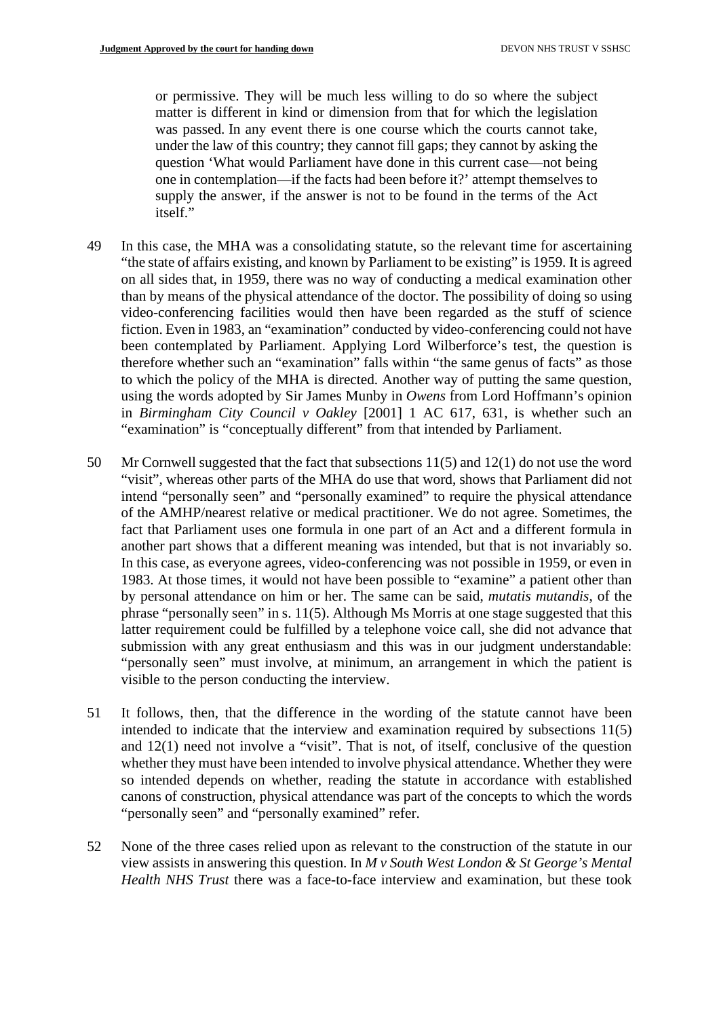or permissive. They will be much less willing to do so where the subject matter is different in kind or dimension from that for which the legislation was passed. In any event there is one course which the courts cannot take, under the law of this country; they cannot fill gaps; they cannot by asking the question 'What would Parliament have done in this current case—not being one in contemplation—if the facts had been before it?' attempt themselves to supply the answer, if the answer is not to be found in the terms of the Act itself."

- 49 In this case, the MHA was a consolidating statute, so the relevant time for ascertaining "the state of affairs existing, and known by Parliament to be existing" is 1959. It is agreed on all sides that, in 1959, there was no way of conducting a medical examination other than by means of the physical attendance of the doctor. The possibility of doing so using video-conferencing facilities would then have been regarded as the stuff of science fiction. Even in 1983, an "examination" conducted by video-conferencing could not have been contemplated by Parliament. Applying Lord Wilberforce's test, the question is therefore whether such an "examination" falls within "the same genus of facts" as those to which the policy of the MHA is directed. Another way of putting the same question, using the words adopted by Sir James Munby in *Owens* from Lord Hoffmann's opinion in *Birmingham City Council v Oakley* [2001] 1 AC 617, 631, is whether such an "examination" is "conceptually different" from that intended by Parliament.
- 50 Mr Cornwell suggested that the fact that subsections 11(5) and 12(1) do not use the word "visit", whereas other parts of the MHA do use that word, shows that Parliament did not intend "personally seen" and "personally examined" to require the physical attendance of the AMHP/nearest relative or medical practitioner. We do not agree. Sometimes, the fact that Parliament uses one formula in one part of an Act and a different formula in another part shows that a different meaning was intended, but that is not invariably so. In this case, as everyone agrees, video-conferencing was not possible in 1959, or even in 1983. At those times, it would not have been possible to "examine" a patient other than by personal attendance on him or her. The same can be said, *mutatis mutandis*, of the phrase "personally seen" in s. 11(5). Although Ms Morris at one stage suggested that this latter requirement could be fulfilled by a telephone voice call, she did not advance that submission with any great enthusiasm and this was in our judgment understandable: "personally seen" must involve, at minimum, an arrangement in which the patient is visible to the person conducting the interview.
- 51 It follows, then, that the difference in the wording of the statute cannot have been intended to indicate that the interview and examination required by subsections 11(5) and 12(1) need not involve a "visit". That is not, of itself, conclusive of the question whether they must have been intended to involve physical attendance. Whether they were so intended depends on whether, reading the statute in accordance with established canons of construction, physical attendance was part of the concepts to which the words "personally seen" and "personally examined" refer.
- 52 None of the three cases relied upon as relevant to the construction of the statute in our view assists in answering this question. In *M v South West London & St George's Mental Health NHS Trust* there was a face-to-face interview and examination, but these took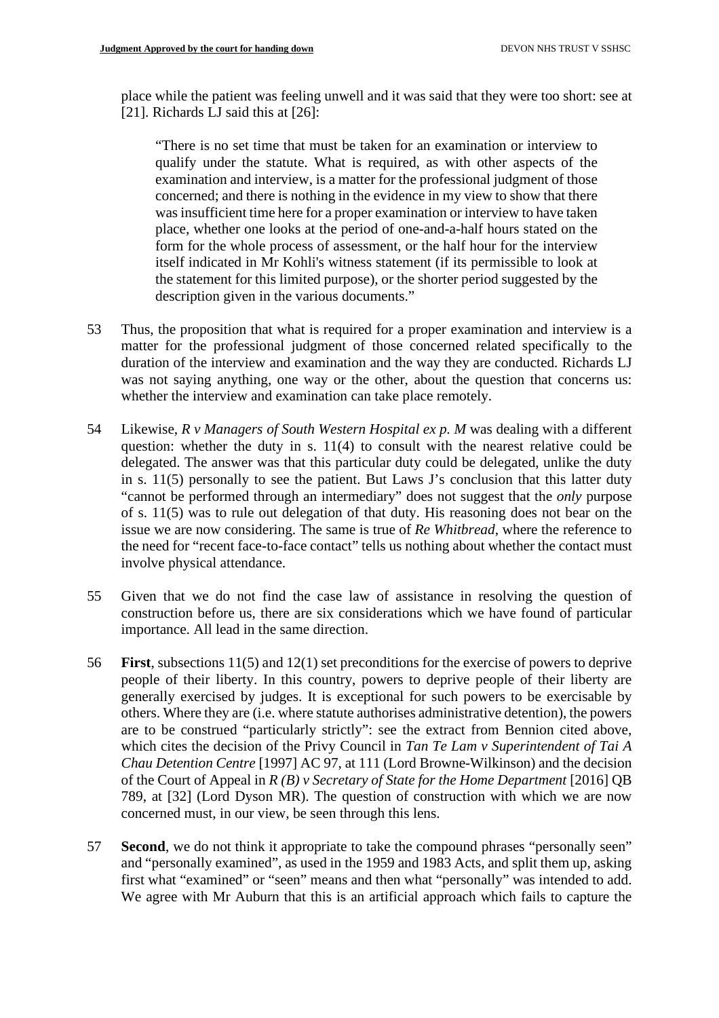place while the patient was feeling unwell and it was said that they were too short: see at [21]. Richards LJ said this at [26]:

"There is no set time that must be taken for an examination or interview to qualify under the statute. What is required, as with other aspects of the examination and interview, is a matter for the professional judgment of those concerned; and there is nothing in the evidence in my view to show that there was insufficient time here for a proper examination or interview to have taken place, whether one looks at the period of one-and-a-half hours stated on the form for the whole process of assessment, or the half hour for the interview itself indicated in Mr Kohli's witness statement (if its permissible to look at the statement for this limited purpose), or the shorter period suggested by the description given in the various documents."

- 53 Thus, the proposition that what is required for a proper examination and interview is a matter for the professional judgment of those concerned related specifically to the duration of the interview and examination and the way they are conducted. Richards LJ was not saying anything, one way or the other, about the question that concerns us: whether the interview and examination can take place remotely.
- 54 Likewise, *R v Managers of South Western Hospital ex p. M* was dealing with a different question: whether the duty in s. 11(4) to consult with the nearest relative could be delegated. The answer was that this particular duty could be delegated, unlike the duty in s. 11(5) personally to see the patient. But Laws J's conclusion that this latter duty "cannot be performed through an intermediary" does not suggest that the *only* purpose of s. 11(5) was to rule out delegation of that duty. His reasoning does not bear on the issue we are now considering. The same is true of *Re Whitbread*, where the reference to the need for "recent face-to-face contact" tells us nothing about whether the contact must involve physical attendance.
- 55 Given that we do not find the case law of assistance in resolving the question of construction before us, there are six considerations which we have found of particular importance. All lead in the same direction.
- 56 **First**, subsections 11(5) and 12(1) set preconditions for the exercise of powers to deprive people of their liberty. In this country, powers to deprive people of their liberty are generally exercised by judges. It is exceptional for such powers to be exercisable by others. Where they are (i.e. where statute authorises administrative detention), the powers are to be construed "particularly strictly": see the extract from Bennion cited above, which cites the decision of the Privy Council in *Tan Te Lam v Superintendent of Tai A Chau Detention Centre* [1997] AC 97, at 111 (Lord Browne-Wilkinson) and the decision of the Court of Appeal in *R (B) v Secretary of State for the Home Department* [2016] QB 789, at [32] (Lord Dyson MR). The question of construction with which we are now concerned must, in our view, be seen through this lens.
- 57 **Second**, we do not think it appropriate to take the compound phrases "personally seen" and "personally examined", as used in the 1959 and 1983 Acts, and split them up, asking first what "examined" or "seen" means and then what "personally" was intended to add. We agree with Mr Auburn that this is an artificial approach which fails to capture the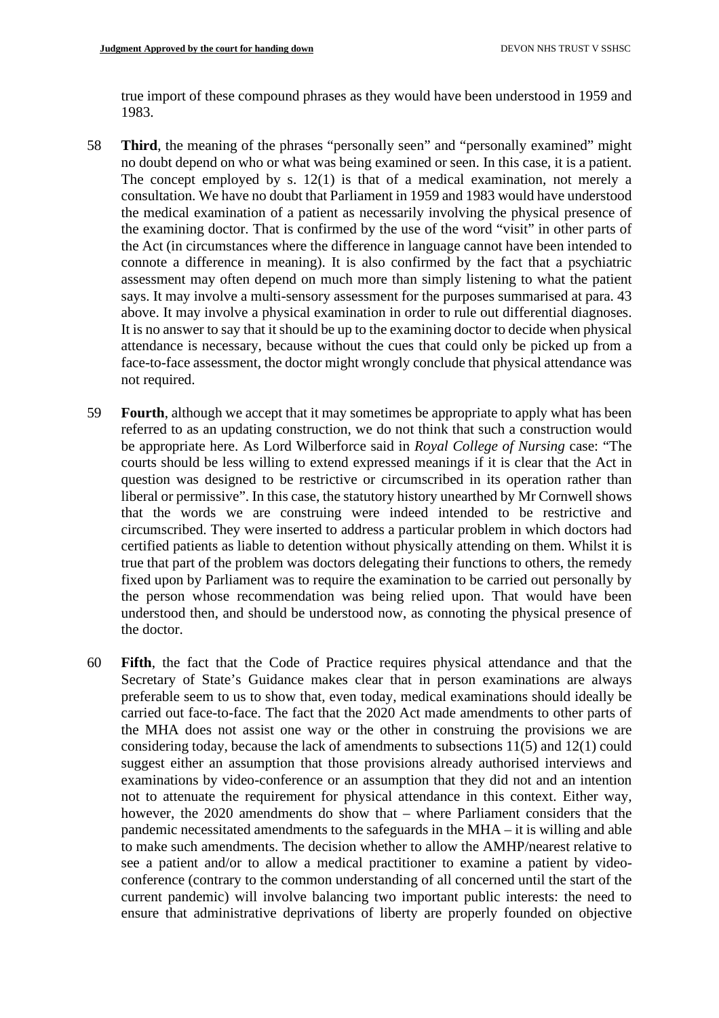true import of these compound phrases as they would have been understood in 1959 and 1983.

- 58 **Third**, the meaning of the phrases "personally seen" and "personally examined" might no doubt depend on who or what was being examined or seen. In this case, it is a patient. The concept employed by s. 12(1) is that of a medical examination, not merely a consultation. We have no doubt that Parliament in 1959 and 1983 would have understood the medical examination of a patient as necessarily involving the physical presence of the examining doctor. That is confirmed by the use of the word "visit" in other parts of the Act (in circumstances where the difference in language cannot have been intended to connote a difference in meaning). It is also confirmed by the fact that a psychiatric assessment may often depend on much more than simply listening to what the patient says. It may involve a multi-sensory assessment for the purposes summarised at para. 43 above. It may involve a physical examination in order to rule out differential diagnoses. It is no answer to say that it should be up to the examining doctor to decide when physical attendance is necessary, because without the cues that could only be picked up from a face-to-face assessment, the doctor might wrongly conclude that physical attendance was not required.
- 59 **Fourth**, although we accept that it may sometimes be appropriate to apply what has been referred to as an updating construction, we do not think that such a construction would be appropriate here. As Lord Wilberforce said in *Royal College of Nursing* case: "The courts should be less willing to extend expressed meanings if it is clear that the Act in question was designed to be restrictive or circumscribed in its operation rather than liberal or permissive". In this case, the statutory history unearthed by Mr Cornwell shows that the words we are construing were indeed intended to be restrictive and circumscribed. They were inserted to address a particular problem in which doctors had certified patients as liable to detention without physically attending on them. Whilst it is true that part of the problem was doctors delegating their functions to others, the remedy fixed upon by Parliament was to require the examination to be carried out personally by the person whose recommendation was being relied upon. That would have been understood then, and should be understood now, as connoting the physical presence of the doctor.
- 60 **Fifth**, the fact that the Code of Practice requires physical attendance and that the Secretary of State's Guidance makes clear that in person examinations are always preferable seem to us to show that, even today, medical examinations should ideally be carried out face-to-face. The fact that the 2020 Act made amendments to other parts of the MHA does not assist one way or the other in construing the provisions we are considering today, because the lack of amendments to subsections 11(5) and 12(1) could suggest either an assumption that those provisions already authorised interviews and examinations by video-conference or an assumption that they did not and an intention not to attenuate the requirement for physical attendance in this context. Either way, however, the 2020 amendments do show that – where Parliament considers that the pandemic necessitated amendments to the safeguards in the MHA – it is willing and able to make such amendments. The decision whether to allow the AMHP/nearest relative to see a patient and/or to allow a medical practitioner to examine a patient by videoconference (contrary to the common understanding of all concerned until the start of the current pandemic) will involve balancing two important public interests: the need to ensure that administrative deprivations of liberty are properly founded on objective